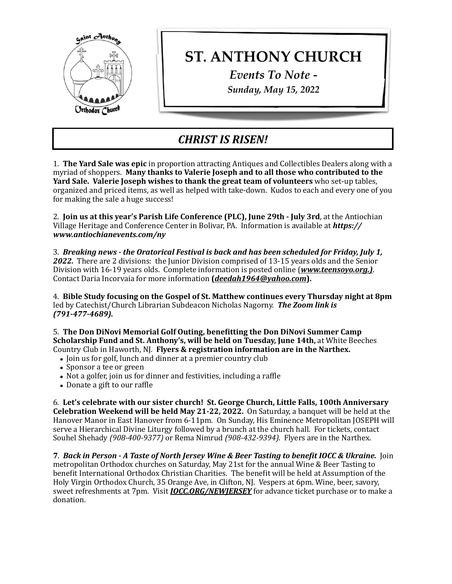

## **ST. ANTHONY CHURCH**

*Events To Note -*

*Sunday, May 15, 2022*

## *CHRIST IS RISEN!*

1. **The Yard Sale was epic** in proportion attracting Antiques and Collectibles Dealers along with a myriad of shoppers. Many thanks to Valerie Joseph and to all those who contributed to the **Yard Sale. Valerie Joseph wishes to thank the great team of volunteers** who set-up tables, organized and priced items, as well as helped with take-down. Kudos to each and every one of you for making the sale a huge success!

2. **Join us at this year's Parish Life Conference (PLC), June 29th - July 3rd, at the Antiochian** Village Heritage and Conference Center in Bolivar, PA. Information is available at **https://** *www.antiochianevents.com/ny* 

3. Breaking news - the Oratorical Festival is back and has been scheduled for Friday, July 1, **2022.** There are 2 divisions: the Junior Division comprised of 13-15 years olds and the Senior Division with 16-19 years olds. Complete information is posted online (*www.teensoyo.org.*). Contact Daria Incorvaia for more information ([deedah1964@yahoo.com](mailto:deedah1964@yahoo.com)).

4. Bible Study focusing on the Gospel of St. Matthew continues every Thursday night at 8pm led by Catechist/Church Librarian Subdeacon Nicholas Nagorny. **The Zoom link is** *(791-477-4689).* 

5. The Don DiNovi Memorial Golf Outing, benefitting the Don DiNovi Summer Camp **Scholarship Fund and St. Anthony's, will be held on Tuesday, June 14th, at White Beeches** Country Club in Haworth, NJ. Flyers & registration information are in the Narthex.

- Join us for golf, lunch and dinner at a premier country club
- Sponsor a tee or green
- Not a golfer, join us for dinner and festivities, including a raffle
- Donate a gift to our raffle

6. Let's celebrate with our sister church! St. George Church, Little Falls, 100th Anniversary **Celebration Weekend will be held May 21-22, 2022.** On Saturday, a banquet will be held at the Hanover Manor in East Hanover from 6-11pm. On Sunday, His Eminence Metropolitan JOSEPH will serve a Hierarchical Divine Liturgy followed by a brunch at the church hall. For tickets, contact Souhel Shehady (908-400-9377) or Rema Nimrud (908-432-9394). Flyers are in the Narthex.

**7.** Back in Person - A Taste of North Jersey Wine & Beer Tasting to benefit IOCC & Ukraine. Join metropolitan Orthodox churches on Saturday, May 21st for the annual Wine & Beer Tasting to benefit International Orthodox Christian Charities. The benefit will be held at Assumption of the Holy Virgin Orthodox Church, 35 Orange Ave, in Clifton, NJ. Vespers at 6pm. Wine, beer, savory, sweet refreshments at 7pm. Visit *IOCC.ORG/NEWJERSEY* for advance ticket purchase or to make a donation.